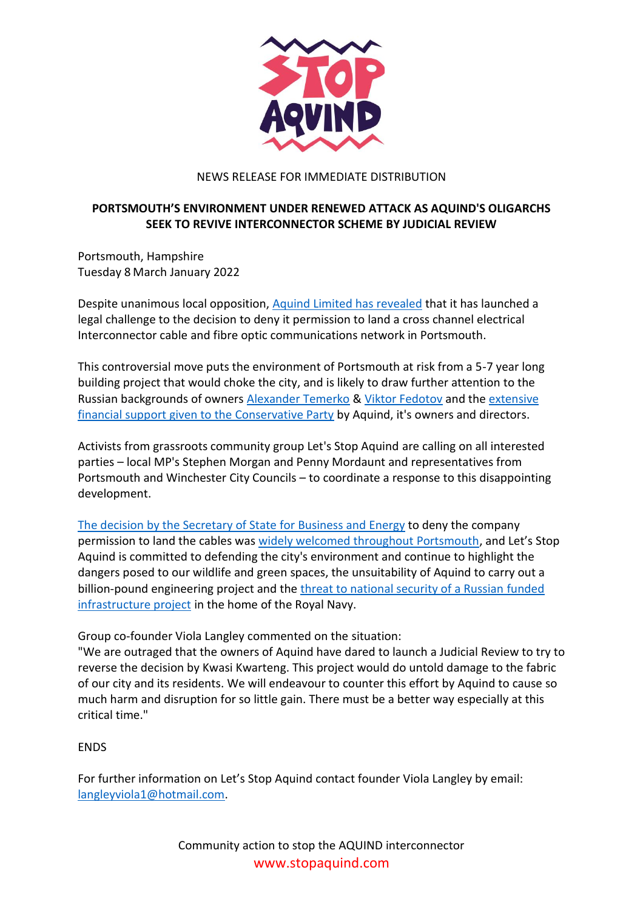

## NEWS RELEASE FOR IMMEDIATE DISTRIBUTION

## **PORTSMOUTH'S ENVIRONMENT UNDER RENEWED ATTACK AS AQUIND'S OLIGARCHS SEEK TO REVIVE INTERCONNECTOR SCHEME BY JUDICIAL REVIEW**

Portsmouth, Hampshire Tuesday 8 March January 2022

Despite unanimous local opposition, [Aquind Limited has revealed](https://aquind.co.uk/news/aquind-statement-on-the-judicial-review-of-the-decision-of-the-secretary-of-state-in-respect-of-the-development-consent-order/) that it has launched a legal challenge to the decision to deny it permission to land a cross channel electrical Interconnector cable and fibre optic communications network in Portsmouth.

This controversial move puts the environment of Portsmouth at risk from a 5-7 year long building project that would choke the city, and is likely to draw further attention to the Russian backgrounds of owners [Alexander Temerko](https://www.desmog.com/alexander-temerko/) & [Viktor Fedotov](https://www.theguardian.com/news/2021/oct/04/russian-tycoons-link-to-alleged-corruption-in-leaked-files-raises-questions-for-tory-ministers) and the [extensive](https://www.transparency.org.uk/pandora-papers-uk-conservative-political-party-funding)  [financial support given to the Conservative Party](https://www.transparency.org.uk/pandora-papers-uk-conservative-political-party-funding) by Aquind, it's owners and directors.

Activists from grassroots community group Let's Stop Aquind are calling on all interested parties – local MP's Stephen Morgan and Penny Mordaunt and representatives from Portsmouth and Winchester City Councils – to coordinate a response to this disappointing development.

[The decision by the Secretary of State](https://www.cityam.com/kwarteng-rejects-1-2bn-aquind-energy-interconnector-from-france-to-uk/) for Business and Energy to deny the company permission to land the cables was [widely welcomed throughout Portsmouth,](https://www.portsmouth.co.uk/news/politics/everything-we-know-so-far-about-rejection-of-aquind-3535503) and Let's Stop Aquind is committed to defending the city's environment and continue to highlight the dangers posed to our wildlife and green spaces, the unsuitability of Aquind to carry out a billion-pound engineering project and the [threat to national security of a Russian](https://securingdemocracy.gmfus.org/covert-foreign-money/) funded [infrastructure project](https://securingdemocracy.gmfus.org/covert-foreign-money/) in the home of the Royal Navy.

Group co-founder Viola Langley commented on the situation:

"We are outraged that the owners of Aquind have dared to launch a Judicial Review to try to reverse the decision by Kwasi Kwarteng. This project would do untold damage to the fabric of our city and its residents. We will endeavour to counter this effort by Aquind to cause so much harm and disruption for so little gain. There must be a better way especially at this critical time."

## **FNDS**

For further information on Let's Stop Aquind contact founder Viola Langley by email: [langleyviola1@hotmail.com.](mailto:langleyviola1@hotmail.com?subject=Contact%20from%20press%20release%20)

> Community action to stop the AQUIND interconnector [www.stopaquind.com](https://stopaquind.com/)